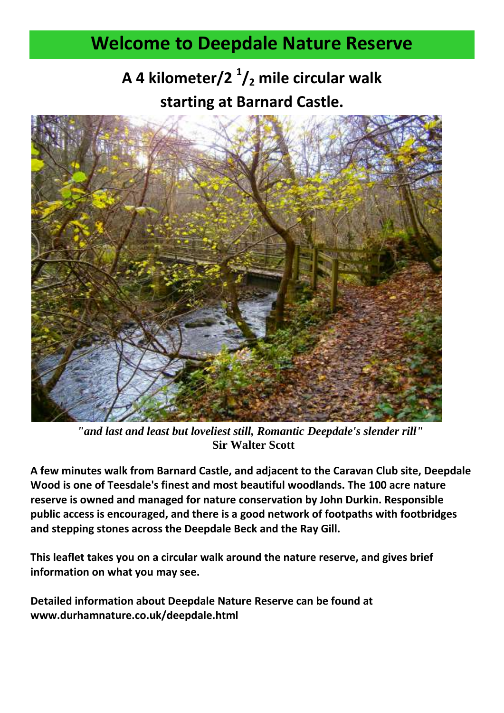## **Welcome to Deepdale Nature Reserve**

## **A 4 kilometer/2 <sup>1</sup> /<sup>2</sup> mile circular walk starting at Barnard Castle.**



*"and last and least but loveliest still, Romantic Deepdale's slender rill"* **Sir Walter Scott**

**A few minutes walk from Barnard Castle, and adjacent to the Caravan Club site, Deepdale Wood is one of Teesdale's finest and most beautiful woodlands. The 100 acre nature reserve is owned and managed for nature conservation by John Durkin. Responsible public access is encouraged, and there is a good network of footpaths with footbridges and stepping stones across the Deepdale Beck and the Ray Gill.**

**This leaflet takes you on a circular walk around the nature reserve, and gives brief information on what you may see.**

**Detailed information about Deepdale Nature Reserve can be found at www.durhamnature.co.uk/deepdale.html**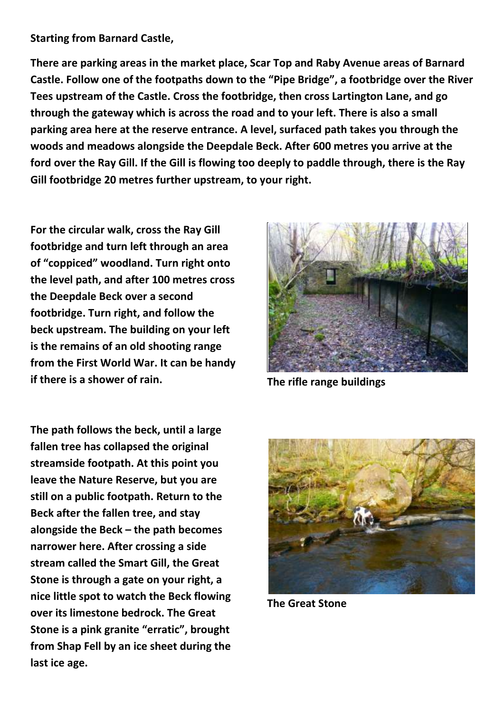## **Starting from Barnard Castle,**

**There are parking areas in the market place, Scar Top and Raby Avenue areas of Barnard Castle. Follow one of the footpaths down to the "Pipe Bridge", a footbridge over the River Tees upstream of the Castle. Cross the footbridge, then cross Lartington Lane, and go through the gateway which is across the road and to your left. There is also a small parking area here at the reserve entrance. A level, surfaced path takes you through the woods and meadows alongside the Deepdale Beck. After 600 metres you arrive at the ford over the Ray Gill. If the Gill is flowing too deeply to paddle through, there is the Ray Gill footbridge 20 metres further upstream, to your right.**

**For the circular walk, cross the Ray Gill footbridge and turn left through an area of "coppiced" woodland. Turn right onto the level path, and after 100 metres cross the Deepdale Beck over a second footbridge. Turn right, and follow the beck upstream. The building on your left is the remains of an old shooting range from the First World War. It can be handy if there is a shower of rain. The rifle range buildings**



**The path follows the beck, until a large fallen tree has collapsed the original streamside footpath. At this point you leave the Nature Reserve, but you are still on a public footpath. Return to the Beck after the fallen tree, and stay alongside the Beck – the path becomes narrower here. After crossing a side stream called the Smart Gill, the Great Stone is through a gate on your right, a nice little spot to watch the Beck flowing over its limestone bedrock. The Great Stone is a pink granite "erratic", brought from Shap Fell by an ice sheet during the last ice age.**



**The Great Stone**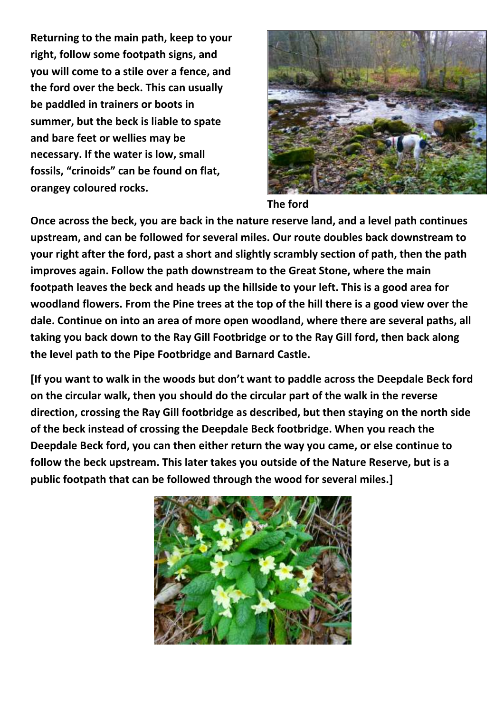**Returning to the main path, keep to your right, follow some footpath signs, and you will come to a stile over a fence, and the ford over the beck. This can usually be paddled in trainers or boots in summer, but the beck is liable to spate and bare feet or wellies may be necessary. If the water is low, small fossils, "crinoids" can be found on flat, orangey coloured rocks.** 



## **The ford**

**Once across the beck, you are back in the nature reserve land, and a level path continues upstream, and can be followed for several miles. Our route doubles back downstream to your right after the ford, past a short and slightly scrambly section of path, then the path improves again. Follow the path downstream to the Great Stone, where the main footpath leaves the beck and heads up the hillside to your left. This is a good area for woodland flowers. From the Pine trees at the top of the hill there is a good view over the dale. Continue on into an area of more open woodland, where there are several paths, all taking you back down to the Ray Gill Footbridge or to the Ray Gill ford, then back along the level path to the Pipe Footbridge and Barnard Castle.**

**[If you want to walk in the woods but don't want to paddle across the Deepdale Beck ford on the circular walk, then you should do the circular part of the walk in the reverse direction, crossing the Ray Gill footbridge as described, but then staying on the north side of the beck instead of crossing the Deepdale Beck footbridge. When you reach the Deepdale Beck ford, you can then either return the way you came, or else continue to follow the beck upstream. This later takes you outside of the Nature Reserve, but is a public footpath that can be followed through the wood for several miles.]**